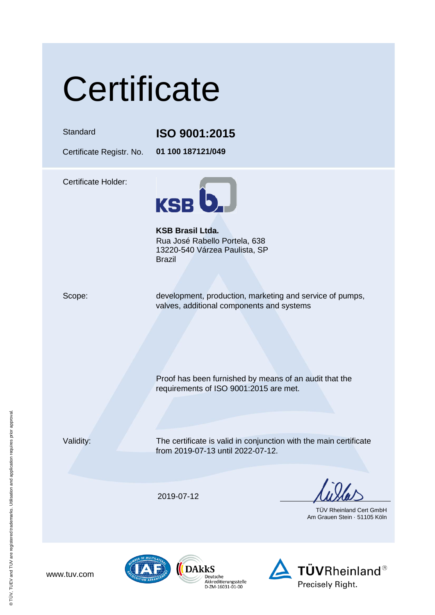# **Certificate**

#### Standard **ISO 9001:2015**

Certificate Registr. No. **01 100 187121/049**

Certificate Holder:



**KSB Brasil Ltda.** Rua José Rabello Portela, 638 13220-540 Várzea Paulista, SP Brazil

Scope: development, production, marketing and service of pumps, valves, additional components and systems

Proof has been furnished by means of an audit that the

requirements of ISO 9001:2015 are met.

Validity: The certificate is valid in conjunction with the main certificate from 2019-07-13 until 2022-07-12.

2019-07-12

TÜV Rheinland Cert GmbH Am Grauen Stein · 51105 Köln







www.tuv.com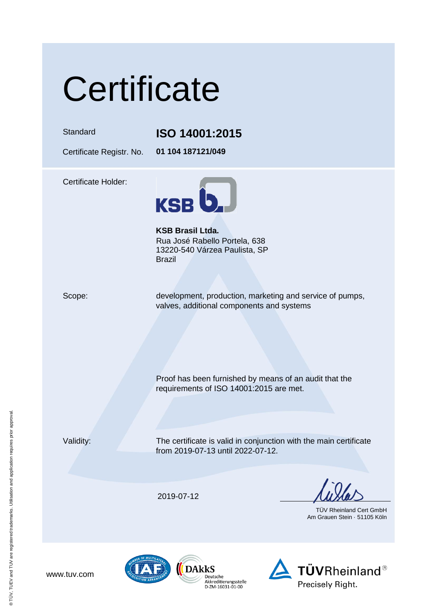# **Certificate**

### Standard **ISO 14001:2015**

Certificate Registr. No. **01 104 187121/049**

Certificate Holder:



**KSB Brasil Ltda.** Rua José Rabello Portela, 638 13220-540 Várzea Paulista, SP Brazil

Scope: development, production, marketing and service of pumps, valves, additional components and systems

Proof has been furnished by means of an audit that the

requirements of ISO 14001:2015 are met.

Validity: The certificate is valid in conjunction with the main certificate from 2019-07-13 until 2022-07-12.

2019-07-12

TÜV Rheinland Cert GmbH Am Grauen Stein · 51105 Köln







www.tuv.com